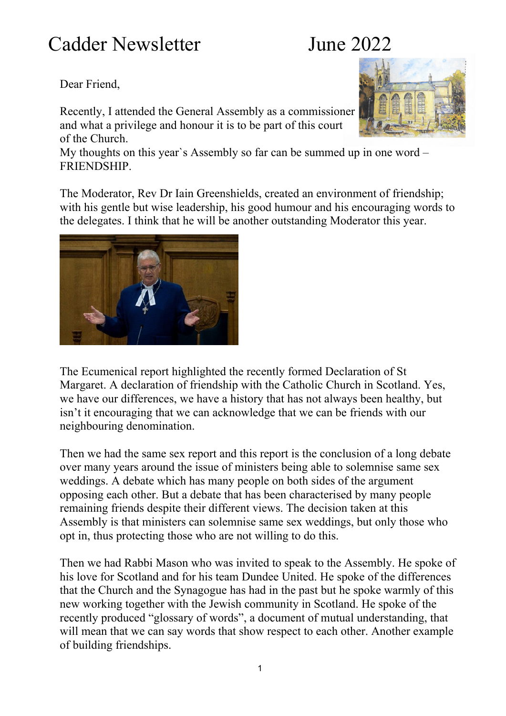## Cadder Newsletter June 2022

### Dear Friend,

Recently, I attended the General Assembly as a commissioner and what a privilege and honour it is to be part of this court of the Church.

My thoughts on this year`s Assembly so far can be summed up in one word – FRIENDSHIP.

The Moderator, Rev Dr Iain Greenshields, created an environment of friendship; with his gentle but wise leadership, his good humour and his encouraging words to the delegates. I think that he will be another outstanding Moderator this year.

The Ecumenical report highlighted the recently formed Declaration of St Margaret. A declaration of friendship with the Catholic Church in Scotland. Yes, we have our differences, we have a history that has not always been healthy, but isn't it encouraging that we can acknowledge that we can be friends with our neighbouring denomination.

Then we had the same sex report and this report is the conclusion of a long debate over many years around the issue of ministers being able to solemnise same sex weddings. A debate which has many people on both sides of the argument opposing each other. But a debate that has been characterised by many people remaining friends despite their different views. The decision taken at this Assembly is that ministers can solemnise same sex weddings, but only those who opt in, thus protecting those who are not willing to do this.

Then we had Rabbi Mason who was invited to speak to the Assembly. He spoke of his love for Scotland and for his team Dundee United. He spoke of the differences that the Church and the Synagogue has had in the past but he spoke warmly of this new working together with the Jewish community in Scotland. He spoke of the recently produced "glossary of words", a document of mutual understanding, that will mean that we can say words that show respect to each other. Another example of building friendships.



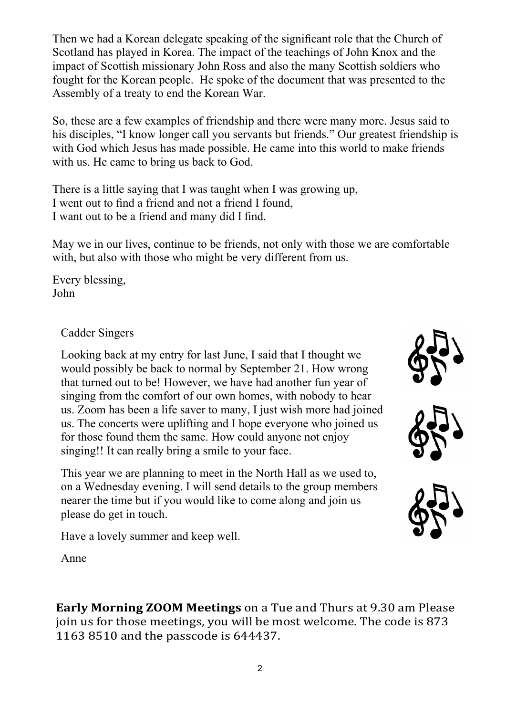Then we had a Korean delegate speaking of the significant role that the Church of Scotland has played in Korea. The impact of the teachings of John Knox and the impact of Scottish missionary John Ross and also the many Scottish soldiers who fought for the Korean people. He spoke of the document that was presented to the Assembly of a treaty to end the Korean War.

So, these are a few examples of friendship and there were many more. Jesus said to his disciples, "I know longer call you servants but friends." Our greatest friendship is with God which Jesus has made possible. He came into this world to make friends with us. He came to bring us back to God.

There is a little saying that I was taught when I was growing up, I went out to find a friend and not a friend I found, I want out to be a friend and many did I find.

May we in our lives, continue to be friends, not only with those we are comfortable with, but also with those who might be very different from us.

Every blessing, John

### Cadder Singers

Looking back at my entry for last June, I said that I thought we would possibly be back to normal by September 21. How wrong that turned out to be! However, we have had another fun year of singing from the comfort of our own homes, with nobody to hear us. Zoom has been a life saver to many, I just wish more had joined us. The concerts were uplifting and I hope everyone who joined us for those found them the same. How could anyone not enjoy singing!! It can really bring a smile to your face.

This year we are planning to meet in the North Hall as we used to, on a Wednesday evening. I will send details to the group members nearer the time but if you would like to come along and join us please do get in touch.

Have a lovely summer and keep well.





Anne

**Early Morning ZOOM Meetings** on a Tue and Thurs at 9.30 am Please join us for those meetings, you will be most welcome. The code is 873 1163 8510 and the passcode is 644437.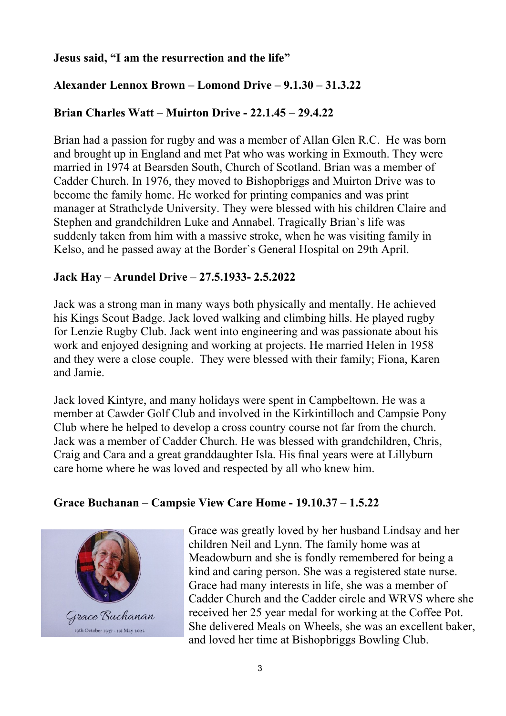### **Jesus said, "I am the resurrection and the life"**

### **Alexander Lennox Brown – Lomond Drive – 9.1.30 – 31.3.22**

### **Brian Charles Watt – Muirton Drive - 22.1.45 – 29.4.22**

Brian had a passion for rugby and was a member of Allan Glen R.C. He was born and brought up in England and met Pat who was working in Exmouth. They were married in 1974 at Bearsden South, Church of Scotland. Brian was a member of Cadder Church. In 1976, they moved to Bishopbriggs and Muirton Drive was to become the family home. He worked for printing companies and was print manager at Strathclyde University. They were blessed with his children Claire and Stephen and grandchildren Luke and Annabel. Tragically Brian`s life was suddenly taken from him with a massive stroke, when he was visiting family in Kelso, and he passed away at the Border`s General Hospital on 29th April.

### **Jack Hay – Arundel Drive – 27.5.1933- 2.5.2022**

Jack was a strong man in many ways both physically and mentally. He achieved his Kings Scout Badge. Jack loved walking and climbing hills. He played rugby for Lenzie Rugby Club. Jack went into engineering and was passionate about his work and enjoyed designing and working at projects. He married Helen in 1958 and they were a close couple. They were blessed with their family; Fiona, Karen and Jamie.

Jack loved Kintyre, and many holidays were spent in Campbeltown. He was a member at Cawder Golf Club and involved in the Kirkintilloch and Campsie Pony Club where he helped to develop a cross country course not far from the church. Jack was a member of Cadder Church. He was blessed with grandchildren, Chris, Craig and Cara and a great granddaughter Isla. His final years were at Lillyburn care home where he was loved and respected by all who knew him.

#### **Grace Buchanan – Campsie View Care Home - 19.10.37 – 1.5.22**



Grace was greatly loved by her husband Lindsay and her children Neil and Lynn. The family home was at Meadowburn and she is fondly remembered for being a kind and caring person. She was a registered state nurse. Grace had many interests in life, she was a member of Cadder Church and the Cadder circle and WRVS where she received her 25 year medal for working at the Coffee Pot. She delivered Meals on Wheels, she was an excellent baker, and loved her time at Bishopbriggs Bowling Club.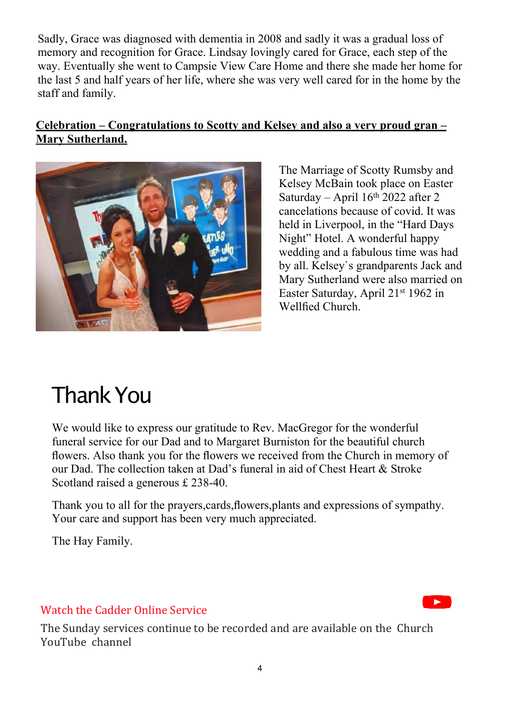Sadly, Grace was diagnosed with dementia in 2008 and sadly it was a gradual loss of memory and recognition for Grace. Lindsay lovingly cared for Grace, each step of the way. Eventually she went to Campsie View Care Home and there she made her home for the last 5 and half years of her life, where she was very well cared for in the home by the staff and family.

### **Celebration – Congratulations to Scotty and Kelsey and also a very proud gran – Mary Sutherland.**



The Marriage of Scotty Rumsby and Kelsey McBain took place on Easter Saturday – April  $16<sup>th</sup> 2022$  after 2 cancelations because of covid. It was held in Liverpool, in the "Hard Days Night" Hotel. A wonderful happy wedding and a fabulous time was had by all. Kelsey`s grandparents Jack and Mary Sutherland were also married on Easter Saturday, April 21st 1962 in Wellfied Church.

# ThankYou

We would like to express our gratitude to Rev. MacGregor for the wonderful funeral service for our Dad and to Margaret Burniston for the beautiful church flowers. Also thank you for the flowers we received from the Church in memory of our Dad. The collection taken at Dad's funeral in aid of Chest Heart & Stroke Scotland raised a generous £ 238-40.

Thank you to all for the prayers,cards,flowers,plants and expressions of sympathy. Your care and support has been very much appreciated.

The Hay Family.

### [Watch the Cadder Online Service](https://www.youtube.com/channel/UCByTT-yLH0fPSKYN-oQf96w)

The Sunday services continue to be recorded and are available on the Church YouTube channel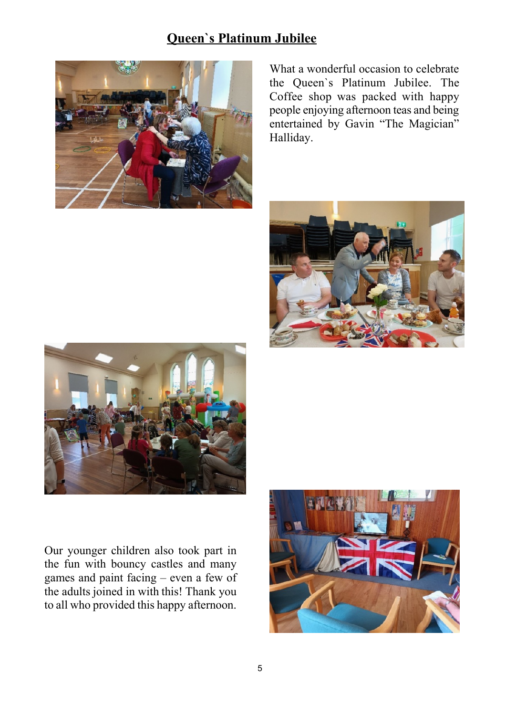### **Queen`s Platinum Jubilee**



What a wonderful occasion to celebrate the Queen`s Platinum Jubilee. The Coffee shop was packed with happy people enjoying afternoon teas and being entertained by Gavin "The Magician" Halliday.





Our younger children also took part in the fun with bouncy castles and many games and paint facing – even a few of the adults joined in with this! Thank you to all who provided this happy afternoon.

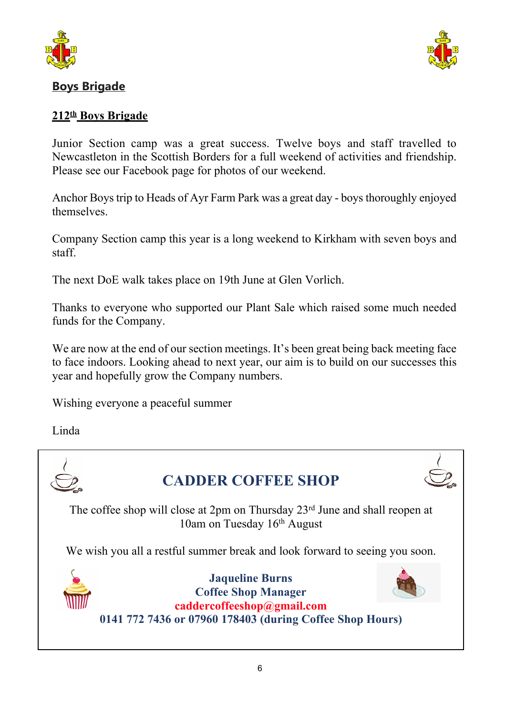



### **Boys Brigade**

### **212th Boys Brigade**

Junior Section camp was a great success. Twelve boys and staff travelled to Newcastleton in the Scottish Borders for a full weekend of activities and friendship. Please see our Facebook page for photos of our weekend.

Anchor Boys trip to Heads of Ayr Farm Park was a great day - boys thoroughly enjoyed themselves.

Company Section camp this year is a long weekend to Kirkham with seven boys and staff.

The next DoE walk takes place on 19th June at Glen Vorlich.

Thanks to everyone who supported our Plant Sale which raised some much needed funds for the Company.

We are now at the end of our section meetings. It's been great being back meeting face to face indoors. Looking ahead to next year, our aim is to build on our successes this year and hopefully grow the Company numbers.

Wishing everyone a peaceful summer

Linda

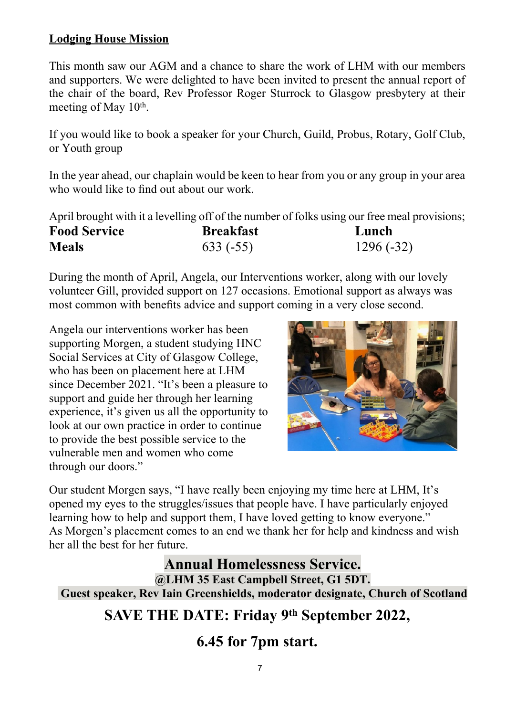### **Lodging House Mission**

This month saw our AGM and a chance to share the work of LHM with our members and supporters. We were delighted to have been invited to present the annual report of the chair of the board, Rev Professor Roger Sturrock to Glasgow presbytery at their meeting of May 10<sup>th</sup>.

If you would like to book a speaker for your Church, Guild, Probus, Rotary, Golf Club, or Youth group

In the year ahead, our chaplain would be keen to hear from you or any group in your area who would like to find out about our work.

April brought with it a levelling off of the number of folks using our free meal provisions;

| <b>Food Service</b> | <b>Breakfast</b> | Lunch       |
|---------------------|------------------|-------------|
| <b>Meals</b>        | $633(-55)$       | $1296(-32)$ |

During the month of April, Angela, our Interventions worker, along with our lovely volunteer Gill, provided support on 127 occasions. Emotional support as always was most common with benefits advice and support coming in a very close second.

Angela our interventions worker has been supporting Morgen, a student studying HNC Social Services at City of Glasgow College, who has been on placement here at LHM since December 2021. "It's been a pleasure to support and guide her through her learning experience, it's given us all the opportunity to look at our own practice in order to continue to provide the best possible service to the vulnerable men and women who come through our doors."



Our student Morgen says, "I have really been enjoying my time here at LHM, It's opened my eyes to the struggles/issues that people have. I have particularly enjoyed learning how to help and support them, I have loved getting to know everyone." As Morgen's placement comes to an end we thank her for help and kindness and wish her all the best for her future.

### **Annual Homelessness Service.**

**@LHM 35 East Campbell Street, G1 5DT. Guest speaker, Rev Iain Greenshields, moderator designate, Church of Scotland**

## **SAVE THE DATE: Friday 9th September 2022,**

**6.45 for 7pm start.**